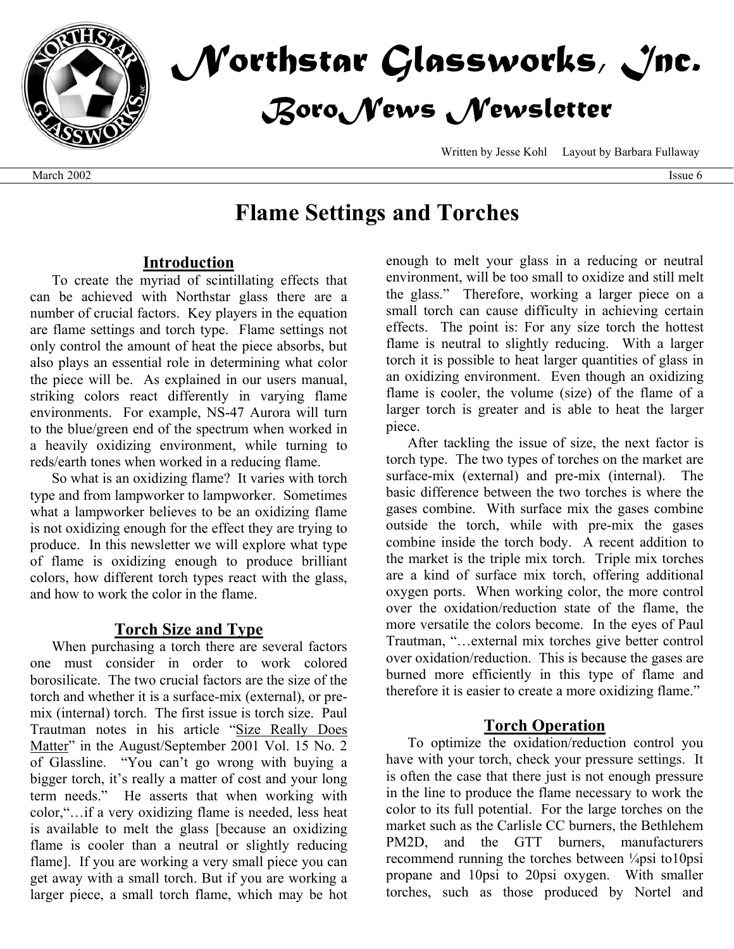

# *Northstar Glassworks, Inc. BoroNews Newsletter*

Written by Jesse Kohl Layout by Barbara Fullaway

# **Flame Settings and Torches**

#### **Introduction**

To create the myriad of scintillating effects that can be achieved with Northstar glass there are a number of crucial factors. Key players in the equation are flame settings and torch type. Flame settings not only control the amount of heat the piece absorbs, but also plays an essential role in determining what color the piece will be. As explained in our users manual, striking colors react differently in varying flame environments. For example, NS-47 Aurora will turn to the blue/green end of the spectrum when worked in a heavily oxidizing environment, while turning to reds/earth tones when worked in a reducing flame.

So what is an oxidizing flame? It varies with torch type and from lampworker to lampworker. Sometimes what a lampworker believes to be an oxidizing flame is not oxidizing enough for the effect they are trying to produce. In this newsletter we will explore what type of flame is oxidizing enough to produce brilliant colors, how different torch types react with the glass, and how to work the color in the flame.

### **Torch Size and Type**

When purchasing a torch there are several factors one must consider in order to work colored borosilicate. The two crucial factors are the size of the torch and whether it is a surface-mix (external), or premix (internal) torch. The first issue is torch size. Paul Trautman notes in his article "Size Really Does Matter" in the August/September 2001 Vol. 15 No. 2 of Glassline. "You can't go wrong with buying a bigger torch, it's really a matter of cost and your long term needs." He asserts that when working with color,"…if a very oxidizing flame is needed, less heat is available to melt the glass [because an oxidizing flame is cooler than a neutral or slightly reducing flame]. If you are working a very small piece you can get away with a small torch. But if you are working a larger piece, a small torch flame, which may be hot

enough to melt your glass in a reducing or neutral environment, will be too small to oxidize and still melt the glass." Therefore, working a larger piece on a small torch can cause difficulty in achieving certain effects. The point is: For any size torch the hottest flame is neutral to slightly reducing. With a larger torch it is possible to heat larger quantities of glass in an oxidizing environment. Even though an oxidizing flame is cooler, the volume (size) of the flame of a larger torch is greater and is able to heat the larger piece.

After tackling the issue of size, the next factor is torch type. The two types of torches on the market are surface-mix (external) and pre-mix (internal). The basic difference between the two torches is where the gases combine. With surface mix the gases combine outside the torch, while with pre-mix the gases combine inside the torch body. A recent addition to the market is the triple mix torch. Triple mix torches are a kind of surface mix torch, offering additional oxygen ports. When working color, the more control over the oxidation/reduction state of the flame, the more versatile the colors become. In the eyes of Paul Trautman, "…external mix torches give better control over oxidation/reduction. This is because the gases are burned more efficiently in this type of flame and therefore it is easier to create a more oxidizing flame."

### **Torch Operation**

To optimize the oxidation/reduction control you have with your torch, check your pressure settings. It is often the case that there just is not enough pressure in the line to produce the flame necessary to work the color to its full potential. For the large torches on the market such as the Carlisle CC burners, the Bethlehem PM2D, and the GTT burners, manufacturers recommend running the torches between <sup>1</sup>/<sub>4</sub>psi to10psi propane and 10psi to 20psi oxygen. With smaller torches, such as those produced by Nortel and

March 2002 Issue 6